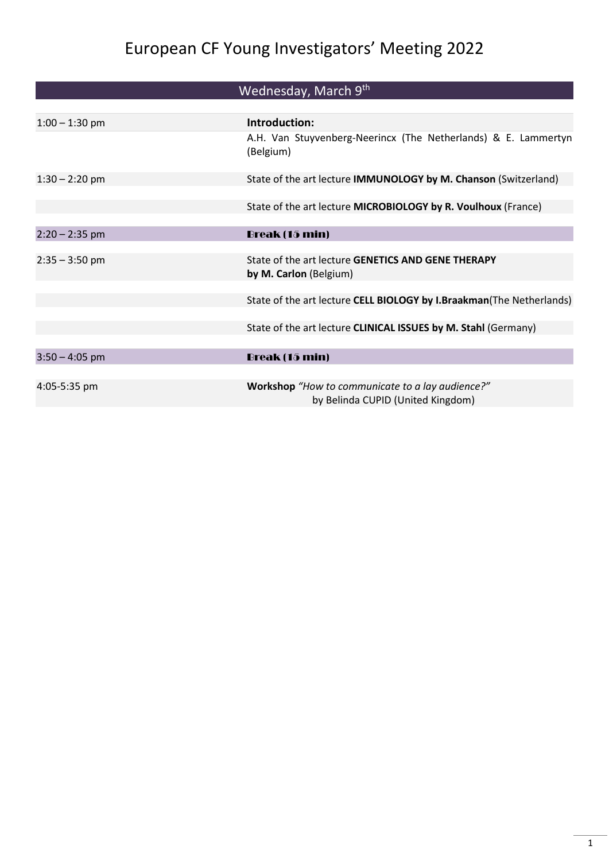# European CF Young Investigators' Meeting 2022

|                  | Wednesday, March 9 <sup>th</sup>                                                      |
|------------------|---------------------------------------------------------------------------------------|
|                  |                                                                                       |
| $1:00 - 1:30$ pm | Introduction:                                                                         |
|                  | A.H. Van Stuyvenberg-Neerincx (The Netherlands) & E. Lammertyn<br>(Belgium)           |
| $1:30 - 2:20$ pm | State of the art lecture IMMUNOLOGY by M. Chanson (Switzerland)                       |
|                  |                                                                                       |
|                  | State of the art lecture MICROBIOLOGY by R. Voulhoux (France)                         |
| $2:20 - 2:35$ pm | Break (15 min)                                                                        |
|                  |                                                                                       |
| $2:35 - 3:50$ pm | State of the art lecture GENETICS AND GENE THERAPY<br>by M. Carlon (Belgium)          |
|                  |                                                                                       |
|                  | State of the art lecture CELL BIOLOGY by I.Braakman(The Netherlands)                  |
|                  | State of the art lecture CLINICAL ISSUES by M. Stahl (Germany)                        |
|                  |                                                                                       |
| $3:50 - 4:05$ pm | Break (15 min)                                                                        |
|                  |                                                                                       |
| 4:05-5:35 pm     | Workshop "How to communicate to a lay audience?"<br>by Belinda CUPID (United Kingdom) |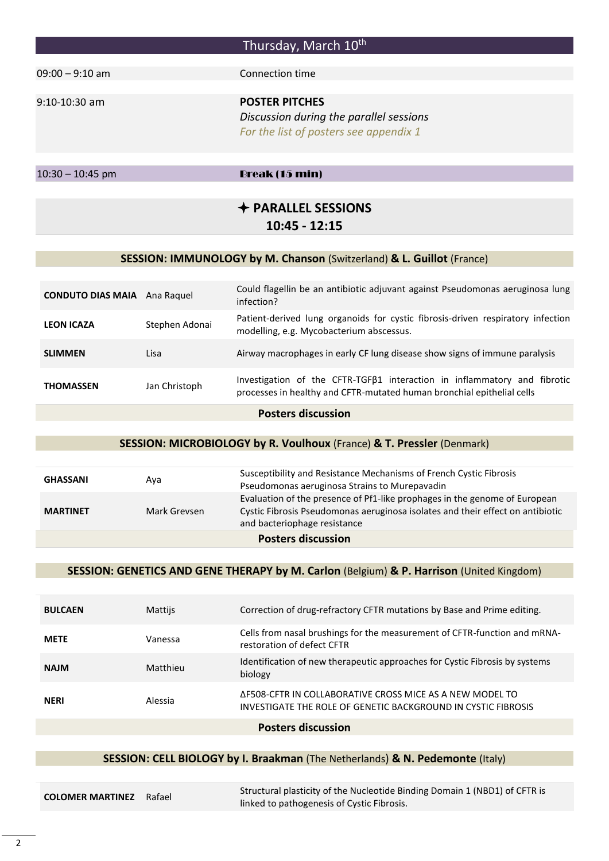## Thursday, March 10<sup>th</sup>

09:00 – 9:10 am Connection time

9:10-10:30 am **POSTER PITCHES** *Discussion during the parallel sessions For the list of posters see appendix 1*

10:30 – 10:45 pm Break (15 min)

### **PARALLEL SESSIONS 10:45 - 12:15**

#### **SESSION: IMMUNOLOGY by M. Chanson** (Switzerland) **& L. Guillot** (France)

| <b>CONDUTO DIAS MAIA</b> Ana Raquel |                | Could flagellin be an antibiotic adjuvant against Pseudomonas aeruginosa lung<br>infection?                                                               |  |
|-------------------------------------|----------------|-----------------------------------------------------------------------------------------------------------------------------------------------------------|--|
| <b>LEON ICAZA</b>                   | Stephen Adonai | Patient-derived lung organoids for cystic fibrosis-driven respiratory infection<br>modelling, e.g. Mycobacterium abscessus.                               |  |
| <b>SLIMMEN</b>                      | Lisa           | Airway macrophages in early CF lung disease show signs of immune paralysis                                                                                |  |
| <b>THOMASSEN</b>                    | Jan Christoph  | Investigation of the CFTR-TGF $\beta1$ interaction in inflammatory and fibrotic<br>processes in healthy and CFTR-mutated human bronchial epithelial cells |  |

#### **Posters discussion**

#### **SESSION: MICROBIOLOGY by R. Voulhoux** (France) **& T. Pressler** (Denmark)

| <b>GHASSANI</b>           | Ava          | Susceptibility and Resistance Mechanisms of French Cystic Fibrosis<br>Pseudomonas aeruginosa Strains to Murepavadin                                                                          |
|---------------------------|--------------|----------------------------------------------------------------------------------------------------------------------------------------------------------------------------------------------|
| <b>MARTINET</b>           | Mark Grevsen | Evaluation of the presence of Pf1-like prophages in the genome of European<br>Cystic Fibrosis Pseudomonas aeruginosa isolates and their effect on antibiotic<br>and bacteriophage resistance |
| <b>Posters discussion</b> |              |                                                                                                                                                                                              |

#### **SESSION: GENETICS AND GENE THERAPY by M. Carlon** (Belgium) **& P. Harrison** (United Kingdom)

| <b>BULCAEN</b> | <b>Mattijs</b> | Correction of drug-refractory CFTR mutations by Base and Prime editing.                                                   |
|----------------|----------------|---------------------------------------------------------------------------------------------------------------------------|
| <b>METE</b>    | Vanessa        | Cells from nasal brushings for the measurement of CFTR-function and mRNA-<br>restoration of defect CFTR                   |
| <b>NAJM</b>    | Matthieu       | Identification of new therapeutic approaches for Cystic Fibrosis by systems<br>biology                                    |
| <b>NERI</b>    | Alessia        | AF508-CFTR IN COLLABORATIVE CROSS MICE AS A NEW MODEL TO<br>INVESTIGATE THE ROLE OF GENETIC BACKGROUND IN CYSTIC FIBROSIS |

#### **Posters discussion**

#### **SESSION: CELL BIOLOGY by I. Braakman** (The Netherlands) **& N. Pedemonte** (Italy)

**COLOMER MARTINEZ** Rafael Structural plasticity of the Nucleotide Binding Domain 1 (NBD1) of CFTR is linked to pathogenesis of Cystic Fibrosis.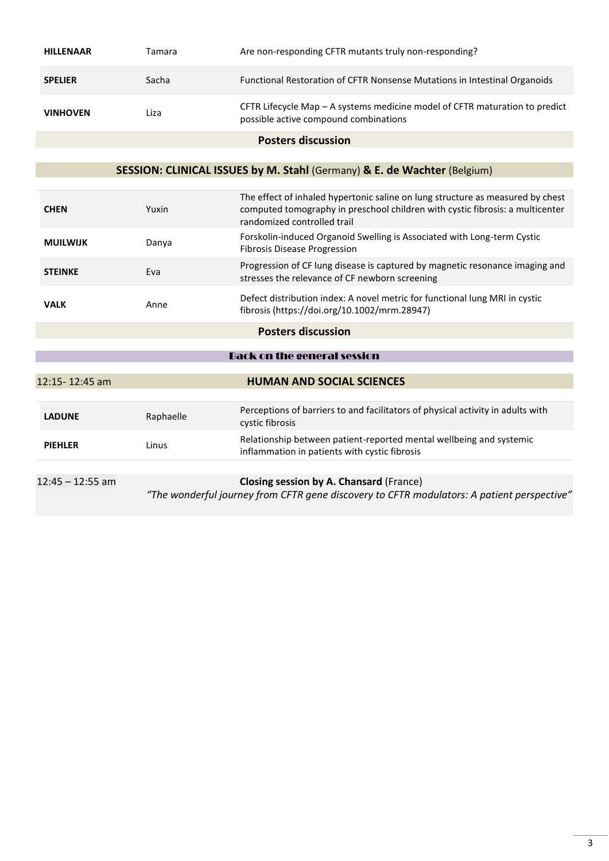| <b>HILLENAAR</b>   | Tamara    | Are non-responding CFTR mutants truly non-responding?                                                                                                           |
|--------------------|-----------|-----------------------------------------------------------------------------------------------------------------------------------------------------------------|
| <b>SPELIER</b>     | Sacha     | Functional Restoration of CFTR Nonsense Mutations in Intestinal Organoids                                                                                       |
| <b>VINHOVEN</b>    | Liza      | CFTR Lifecycle Map - A systems medicine model of CFTR maturation to predict<br>possible active compound combinations                                            |
|                    |           | <b>Posters discussion</b>                                                                                                                                       |
|                    |           | SESSION: CLINICAL ISSUES by M. Stahl (Germany) & E. de Wachter (Belgium)                                                                                        |
| <b>CHEN</b>        | Yuxin     | The effect of inhaled hypertonic saline on lung structure as measured by chest<br>computed tomography in preschool children with cystic fibrosis: a multicenter |
|                    |           | randomized controlled trail                                                                                                                                     |
| <b>MUILWIJK</b>    | Danya     | Forskolin-induced Organoid Swelling is Associated with Long-term Cystic<br><b>Fibrosis Disease Progression</b>                                                  |
| <b>STEINKE</b>     | Eva       | Progression of CF lung disease is captured by magnetic resonance imaging and<br>stresses the relevance of CF newborn screening                                  |
| <b>VALK</b>        | Anne      | Defect distribution index: A novel metric for functional lung MRI in cystic<br>fibrosis (https://doi.org/10.1002/mrm.28947)                                     |
|                    |           | <b>Posters discussion</b>                                                                                                                                       |
|                    |           |                                                                                                                                                                 |
|                    |           | <b>Back on the general session</b>                                                                                                                              |
| 12:15-12:45 am     |           | <b>HUMAN AND SOCIAL SCIENCES</b>                                                                                                                                |
| <b>LADUNE</b>      | Raphaelle | Perceptions of barriers to and facilitators of physical activity in adults with<br>cystic fibrosis                                                              |
| <b>PIEHLER</b>     | Linus     | Relationship between patient-reported mental wellbeing and systemic<br>inflammation in patients with cystic fibrosis                                            |
| $12:45 - 12:55$ am |           | Closing session by A. Chansard (France)<br>"The wonderful journey from CFTR gene discovery to CFTR modulators: A patient perspective"                           |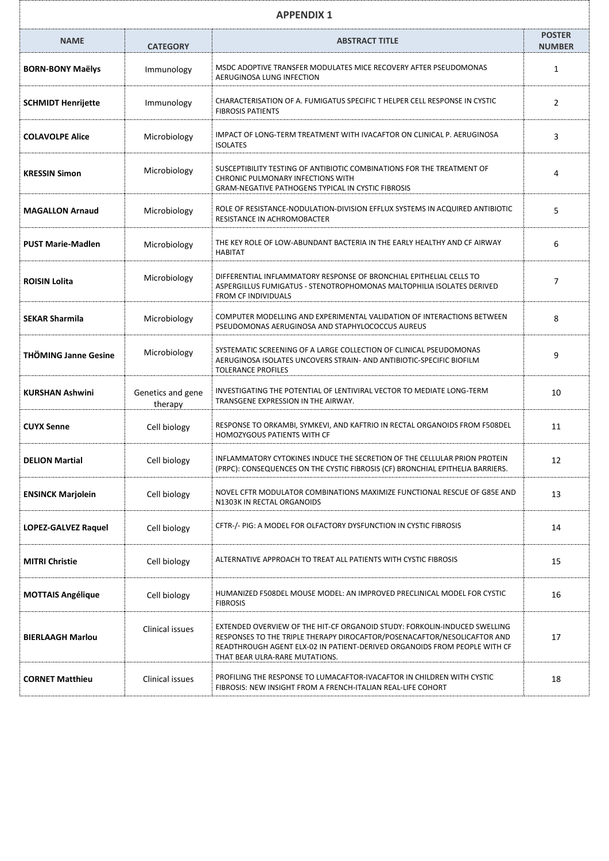| <b>APPENDIX 1</b>           |                              |                                                                                                                                                                                                                                                                      |                                |
|-----------------------------|------------------------------|----------------------------------------------------------------------------------------------------------------------------------------------------------------------------------------------------------------------------------------------------------------------|--------------------------------|
| <b>NAME</b>                 | <b>CATEGORY</b>              | <b>ABSTRACT TITLE</b>                                                                                                                                                                                                                                                | <b>POSTER</b><br><b>NUMBER</b> |
| <b>BORN-BONY Maëlys</b>     | Immunology                   | MSDC ADOPTIVE TRANSFER MODULATES MICE RECOVERY AFTER PSEUDOMONAS<br>AERUGINOSA LUNG INFECTION                                                                                                                                                                        | 1                              |
| <b>SCHMIDT Henrijette</b>   | Immunology                   | CHARACTERISATION OF A. FUMIGATUS SPECIFIC T HELPER CELL RESPONSE IN CYSTIC<br><b>FIBROSIS PATIENTS</b>                                                                                                                                                               | $\overline{2}$                 |
| <b>COLAVOLPE Alice</b>      | Microbiology                 | IMPACT OF LONG-TERM TREATMENT WITH IVACAFTOR ON CLINICAL P. AERUGINOSA<br><b>ISOLATES</b>                                                                                                                                                                            | 3                              |
| <b>KRESSIN Simon</b>        | Microbiology                 | SUSCEPTIBILITY TESTING OF ANTIBIOTIC COMBINATIONS FOR THE TREATMENT OF<br>CHRONIC PULMONARY INFECTIONS WITH<br><b>GRAM-NEGATIVE PATHOGENS TYPICAL IN CYSTIC FIBROSIS</b>                                                                                             | 4                              |
| <b>MAGALLON Arnaud</b>      | Microbiology                 | ROLE OF RESISTANCE-NODULATION-DIVISION EFFLUX SYSTEMS IN ACQUIRED ANTIBIOTIC<br>RESISTANCE IN ACHROMOBACTER                                                                                                                                                          | 5                              |
| <b>PUST Marie-Madlen</b>    | Microbiology                 | THE KEY ROLE OF LOW-ABUNDANT BACTERIA IN THE EARLY HEALTHY AND CF AIRWAY<br><b>HABITAT</b>                                                                                                                                                                           | 6                              |
| ROISIN Lolita               | Microbiology                 | DIFFERENTIAL INFLAMMATORY RESPONSE OF BRONCHIAL EPITHELIAL CELLS TO<br>ASPERGILLUS FUMIGATUS - STENOTROPHOMONAS MALTOPHILIA ISOLATES DERIVED<br><b>FROM CF INDIVIDUALS</b>                                                                                           | 7                              |
| <b>SEKAR Sharmila</b>       | Microbiology                 | COMPUTER MODELLING AND EXPERIMENTAL VALIDATION OF INTERACTIONS BETWEEN<br>PSEUDOMONAS AERUGINOSA AND STAPHYLOCOCCUS AUREUS                                                                                                                                           | 8                              |
| <b>THÖMING Janne Gesine</b> | Microbiology                 | SYSTEMATIC SCREENING OF A LARGE COLLECTION OF CLINICAL PSEUDOMONAS<br>AERUGINOSA ISOLATES UNCOVERS STRAIN- AND ANTIBIOTIC-SPECIFIC BIOFILM<br><b>TOLERANCE PROFILES</b>                                                                                              | 9                              |
| <b>KURSHAN Ashwini</b>      | Genetics and gene<br>therapy | INVESTIGATING THE POTENTIAL OF LENTIVIRAL VECTOR TO MEDIATE LONG-TERM<br>TRANSGENE EXPRESSION IN THE AIRWAY.                                                                                                                                                         | 10                             |
| <b>CUYX Senne</b>           | Cell biology                 | RESPONSE TO ORKAMBI, SYMKEVI, AND KAFTRIO IN RECTAL ORGANOIDS FROM F508DEL<br>HOMOZYGOUS PATIENTS WITH CF                                                                                                                                                            | 11                             |
| <b>DELION Martial</b>       | Cell biology                 | INFLAMMATORY CYTOKINES INDUCE THE SECRETION OF THE CELLULAR PRION PROTEIN<br>(PRPC): CONSEQUENCES ON THE CYSTIC FIBROSIS (CF) BRONCHIAL EPITHELIA BARRIERS.                                                                                                          | 12                             |
| <b>ENSINCK Marjolein</b>    | Cell biology                 | NOVEL CFTR MODULATOR COMBINATIONS MAXIMIZE FUNCTIONAL RESCUE OF G85E AND<br>N1303K IN RECTAL ORGANOIDS                                                                                                                                                               | 13                             |
| LOPEZ-GALVEZ Raquel         | Cell biology                 | CFTR-/- PIG: A MODEL FOR OLFACTORY DYSFUNCTION IN CYSTIC FIBROSIS                                                                                                                                                                                                    | 14                             |
| <b>MITRI Christie</b>       | Cell biology                 | ALTERNATIVE APPROACH TO TREAT ALL PATIENTS WITH CYSTIC FIBROSIS                                                                                                                                                                                                      | 15                             |
| <b>MOTTAIS Angélique</b>    | Cell biology                 | HUMANIZED F508DEL MOUSE MODEL: AN IMPROVED PRECLINICAL MODEL FOR CYSTIC<br><b>FIBROSIS</b>                                                                                                                                                                           | 16                             |
| <b>BIERLAAGH Marlou</b>     | Clinical issues              | EXTENDED OVERVIEW OF THE HIT-CF ORGANOID STUDY: FORKOLIN-INDUCED SWELLING<br>RESPONSES TO THE TRIPLE THERAPY DIROCAFTOR/POSENACAFTOR/NESOLICAFTOR AND<br>READTHROUGH AGENT ELX-02 IN PATIENT-DERIVED ORGANOIDS FROM PEOPLE WITH CF<br>THAT BEAR ULRA-RARE MUTATIONS. | 17                             |
| <b>CORNET Matthieu</b>      | Clinical issues              | PROFILING THE RESPONSE TO LUMACAFTOR-IVACAFTOR IN CHILDREN WITH CYSTIC<br>FIBROSIS: NEW INSIGHT FROM A FRENCH-ITALIAN REAL-LIFE COHORT                                                                                                                               | 18                             |